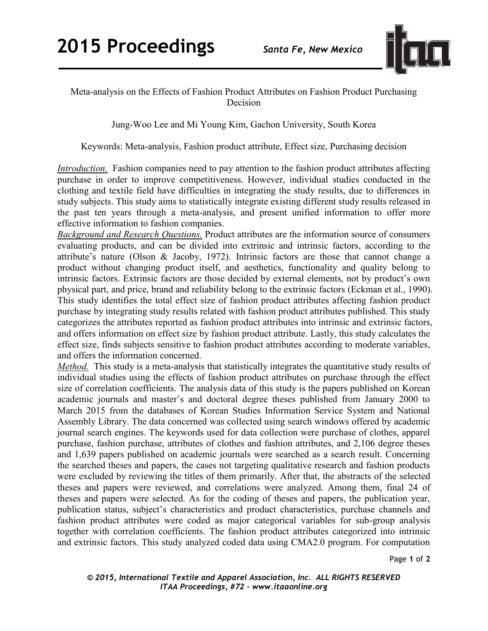

## Meta-analysis on the Effects of Fashion Product Attributes on Fashion Product Purchasing Decision

Jung-Woo Lee and Mi Young Kim, Gachon University, South Korea

Keywords: Meta-analysis, Fashion product attribute, Effect size, Purchasing decision

*Introduction.* Fashion companies need to pay attention to the fashion product attributes affecting purchase in order to improve competitiveness. However, individual studies conducted in the clothing and textile field have difficulties in integrating the study results, due to differences in study subjects. This study aims to statistically integrate existing different study results released in the past ten years through a meta-analysis, and present unified information to offer more effective information to fashion companies.

*Background and Research Questions.* Product attributes are the information source of consumers evaluating products, and can be divided into extrinsic and intrinsic factors, according to the attribute's nature (Olson & Jacoby, 1972). Intrinsic factors are those that cannot change a product without changing product itself, and aesthetics, functionality and quality belong to intrinsic factors. Extrinsic factors are those decided by external elements, not by product's own physical part, and price, brand and reliability belong to the extrinsic factors (Eckman et al., 1990). This study identifies the total effect size of fashion product attributes affecting fashion product purchase by integrating study results related with fashion product attributes published. This study categorizes the attributes reported as fashion product attributes into intrinsic and extrinsic factors, and offers information on effect size by fashion product attribute. Lastly, this study calculates the effect size, finds subjects sensitive to fashion product attributes according to moderate variables, and offers the information concerned.

*Method.* This study is a meta-analysis that statistically integrates the quantitative study results of individual studies using the effects of fashion product attributes on purchase through the effect size of correlation coefficients. The analysis data of this study is the papers published on Korean academic journals and master's and doctoral degree theses published from January 2000 to March 2015 from the databases of Korean Studies Information Service System and National Assembly Library. The data concerned was collected using search windows offered by academic journal search engines. The keywords used for data collection were purchase of clothes, apparel purchase, fashion purchase, attributes of clothes and fashion attributes, and 2,106 degree theses and 1,639 papers published on academic journals were searched as a search result. Concerning the searched theses and papers, the cases not targeting qualitative research and fashion products were excluded by reviewing the titles of them primarily. After that, the abstracts of the selected theses and papers were reviewed, and correlations were analyzed. Among them, final 24 of theses and papers were selected. As for the coding of theses and papers, the publication year, publication status, subject's characteristics and product characteristics, purchase channels and fashion product attributes were coded as major categorical variables for sub-group analysis together with correlation coefficients. The fashion product attributes categorized into intrinsic and extrinsic factors. This study analyzed coded data using CMA2.0 program. For computation

Page **1** of **2** 

*© 2015, International Textile and Apparel Association, Inc. ALL RIGHTS RESERVED ITAA Proceedings, #72 – www.itaaonline.org*